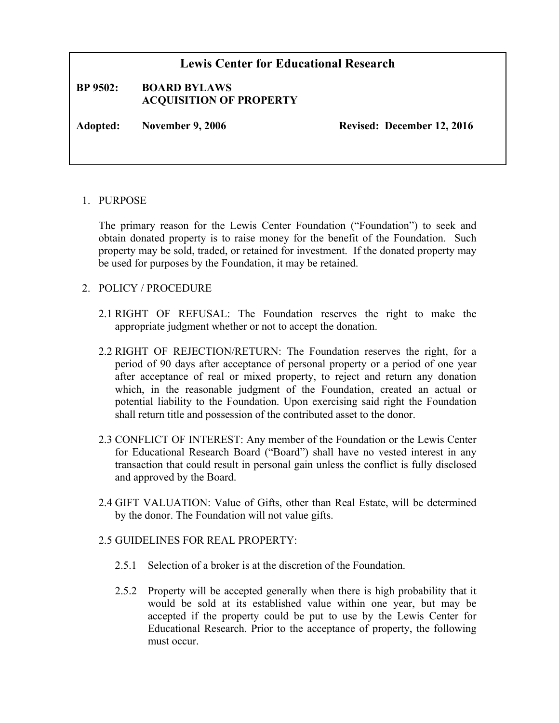## **Lewis Center for Educational Research BP 9502: BOARD BYLAWS ACQUISITION OF PROPERTY Adopted: November 9, 2006 Revised: December 12, 2016**

## 1. PURPOSE

The primary reason for the Lewis Center Foundation ("Foundation") to seek and obtain donated property is to raise money for the benefit of the Foundation. Such property may be sold, traded, or retained for investment. If the donated property may be used for purposes by the Foundation, it may be retained.

## 2. POLICY / PROCEDURE

- 2.1 RIGHT OF REFUSAL: The Foundation reserves the right to make the appropriate judgment whether or not to accept the donation.
- 2.2 RIGHT OF REJECTION/RETURN: The Foundation reserves the right, for a period of 90 days after acceptance of personal property or a period of one year after acceptance of real or mixed property, to reject and return any donation which, in the reasonable judgment of the Foundation, created an actual or potential liability to the Foundation. Upon exercising said right the Foundation shall return title and possession of the contributed asset to the donor.
- 2.3 CONFLICT OF INTEREST: Any member of the Foundation or the Lewis Center for Educational Research Board ("Board") shall have no vested interest in any transaction that could result in personal gain unless the conflict is fully disclosed and approved by the Board.
- 2.4 GIFT VALUATION: Value of Gifts, other than Real Estate, will be determined by the donor. The Foundation will not value gifts.

## 2.5 GUIDELINES FOR REAL PROPERTY:

- 2.5.1 Selection of a broker is at the discretion of the Foundation.
- 2.5.2 Property will be accepted generally when there is high probability that it would be sold at its established value within one year, but may be accepted if the property could be put to use by the Lewis Center for Educational Research. Prior to the acceptance of property, the following must occur.